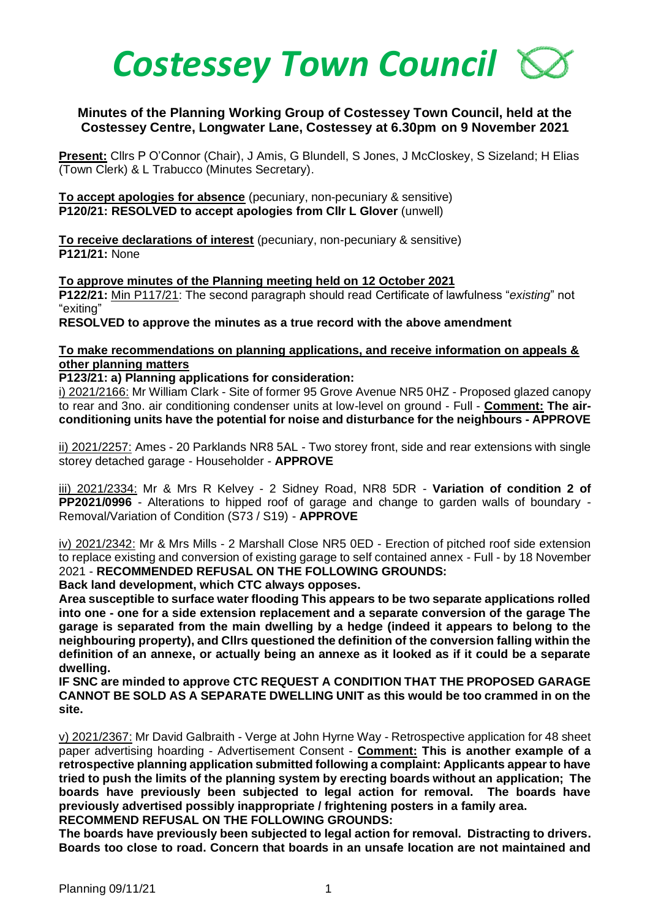

## **Minutes of the Planning Working Group of Costessey Town Council, held at the Costessey Centre, Longwater Lane, Costessey at 6.30pm on 9 November 2021**

**Present:** Cllrs P O'Connor (Chair), J Amis, G Blundell, S Jones, J McCloskey, S Sizeland; H Elias (Town Clerk) & L Trabucco (Minutes Secretary).

**To accept apologies for absence** (pecuniary, non-pecuniary & sensitive) **P120/21: RESOLVED to accept apologies from Cllr L Glover** (unwell)

**To receive declarations of interest** (pecuniary, non-pecuniary & sensitive) **P121/21:** None

**To approve minutes of the Planning meeting held on 12 October 2021 P122/21:** Min P117/21: The second paragraph should read Certificate of lawfulness "*existing*" not "exiting"

**RESOLVED to approve the minutes as a true record with the above amendment**

## **To make recommendations on planning applications, and receive information on appeals & other planning matters**

## **P123/21: a) Planning applications for consideration:**

i) 2021/2166: Mr William Clark - Site of former 95 Grove Avenue NR5 0HZ - Proposed glazed canopy to rear and 3no. air conditioning condenser units at low-level on ground - Full - **Comment: The airconditioning units have the potential for noise and disturbance for the neighbours - APPROVE**

ii) 2021/2257: Ames - 20 Parklands NR8 5AL - Two storey front, side and rear extensions with single storey detached garage - Householder - **APPROVE**

iii) 2021/2334: Mr & Mrs R Kelvey - 2 Sidney Road, NR8 5DR - **Variation of condition 2 of PP2021/0996** - Alterations to hipped roof of garage and change to garden walls of boundary - Removal/Variation of Condition (S73 / S19) - **APPROVE**

iv) 2021/2342: Mr & Mrs Mills - 2 Marshall Close NR5 0ED - Erection of pitched roof side extension to replace existing and conversion of existing garage to self contained annex - Full - by 18 November 2021 - **RECOMMENDED REFUSAL ON THE FOLLOWING GROUNDS:**

**Back land development, which CTC always opposes.** 

**Area susceptible to surface water flooding This appears to be two separate applications rolled into one - one for a side extension replacement and a separate conversion of the garage The garage is separated from the main dwelling by a hedge (indeed it appears to belong to the neighbouring property), and Cllrs questioned the definition of the conversion falling within the definition of an annexe, or actually being an annexe as it looked as if it could be a separate dwelling.**

**IF SNC are minded to approve CTC REQUEST A CONDITION THAT THE PROPOSED GARAGE CANNOT BE SOLD AS A SEPARATE DWELLING UNIT as this would be too crammed in on the site.**

v) 2021/2367: Mr David Galbraith - Verge at John Hyrne Way - Retrospective application for 48 sheet paper advertising hoarding - Advertisement Consent - **Comment: This is another example of a retrospective planning application submitted following a complaint: Applicants appear to have tried to push the limits of the planning system by erecting boards without an application; The boards have previously been subjected to legal action for removal. The boards have previously advertised possibly inappropriate / frightening posters in a family area. RECOMMEND REFUSAL ON THE FOLLOWING GROUNDS:** 

**The boards have previously been subjected to legal action for removal. Distracting to drivers. Boards too close to road. Concern that boards in an unsafe location are not maintained and**